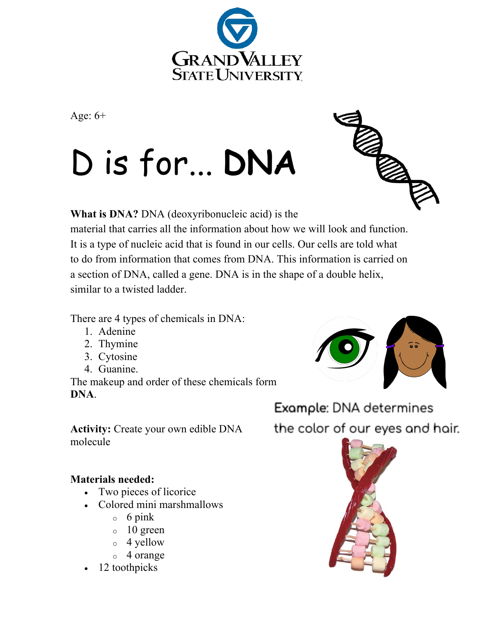

Age: 6+

## D is for... **DNA**



**What is DNA?** DNA (deoxyribonucleic acid) is the material that carries all the information about how we will look and function. It is a type of nucleic acid that is found in our cells. Our cells are told what to do from information that comes from DNA. This information is carried on a section of DNA, called a gene. DNA is in the shape of a double helix, similar to a twisted ladder.

There are 4 types of chemicals in DNA:

- 1. Adenine
- 2. Thymine
- 3. Cytosine
- 4. Guanine.

The makeup and order of these chemicals form **DNA**.

**Activity:** Create your own edible DNA molecule

## **Materials needed:**

- Two pieces of licorice
- Colored mini marshmallows
	- $\circ$  6 pink
	- $\circ$  10 green
	- o 4 yellow
	- o 4 orange
- 12 toothpicks



Example: DNA determines the color of our eyes and hair.

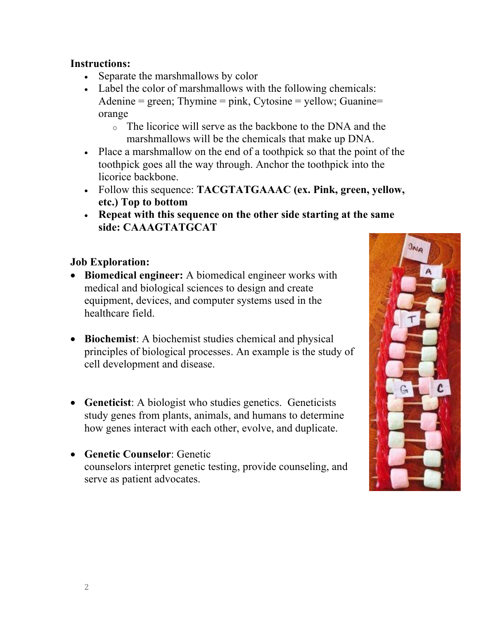## **Instructions:**

- Separate the marshmallows by color
- Label the color of marshmallows with the following chemicals: Adenine  $=$  green; Thymine  $=$  pink, Cytosine  $=$  yellow; Guanine $=$ orange
	- o The licorice will serve as the backbone to the DNA and the marshmallows will be the chemicals that make up DNA.
- Place a marshmallow on the end of a toothpick so that the point of the toothpick goes all the way through. Anchor the toothpick into the licorice backbone.
- Follow this sequence: **TACGTATGAAAC (ex. Pink, green, yellow, etc.) Top to bottom**
- **Repeat with this sequence on the other side starting at the same side: CAAAGTATGCAT**

## **Job Exploration:**

- **Biomedical engineer:** A biomedical engineer works with medical and biological sciences to design and create equipment, devices, and computer systems used in the healthcare field.
- **Biochemist**: A biochemist studies chemical and physical principles of biological processes. An example is the study of cell development and disease.
- **Geneticist**: A biologist who studies genetics. Geneticists study genes from plants, animals, and humans to determine how genes interact with each other, evolve, and duplicate.
- **Genetic Counselor**: Genetic counselors interpret genetic testing, provide counseling, and serve as patient advocates.